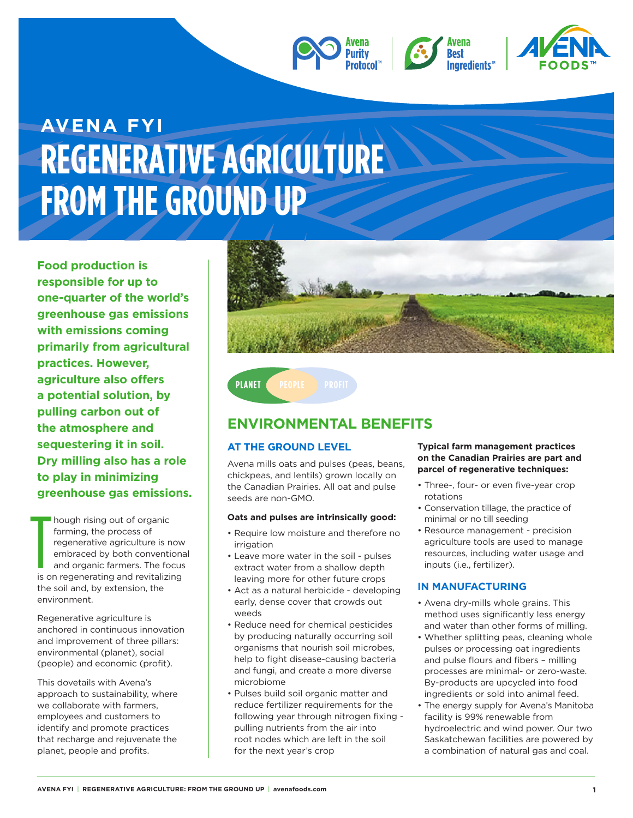



# **AVENA FYI REGENERATIVE AGRICULTURE FROM THE GROUND UP**

**Food production is responsible for up to one-quarter of the world's greenhouse gas emissions with emissions coming primarily from agricultural practices. However, agriculture also offers a potential solution, by pulling carbon out of the atmosphere and sequestering it in soil. Dry milling also has a role to play in minimizing greenhouse gas emissions.**

hough rising out of organic farming, the process of regenerative agriculture is now embraced by both conventional and organic farmers. The focus is on regenerating and revitalizing the soil and, by extension, the environment.  $\frac{1}{\frac{1}{150}}$ 

Regenerative agriculture is anchored in continuous innovation and improvement of three pillars: environmental (planet), social (people) and economic (profit).

This dovetails with Avena's approach to sustainability, where we collaborate with farmers, employees and customers to identify and promote practices that recharge and rejuvenate the planet, people and profits.



## **ENVIRONMENTAL BENEFITS**

### **AT THE GROUND LEVEL**

**PLANET PEOPLE PROFIT** 

Avena mills oats and pulses (peas, beans, chickpeas, and lentils) grown locally on the Canadian Prairies. All oat and pulse seeds are non-GMO.

#### **Oats and pulses are intrinsically good:**

- Require low moisture and therefore no irrigation
- Leave more water in the soil pulses extract water from a shallow depth leaving more for other future crops
- Act as a natural herbicide developing early, dense cover that crowds out weeds
- Reduce need for chemical pesticides by producing naturally occurring soil organisms that nourish soil microbes, help to fight disease-causing bacteria and fungi, and create a more diverse microbiome
- Pulses build soil organic matter and reduce fertilizer requirements for the following year through nitrogen fixing pulling nutrients from the air into root nodes which are left in the soil for the next year's crop

#### **Typical farm management practices on the Canadian Prairies are part and parcel of regenerative techniques:**

- Three-, four- or even five-year crop rotations
- Conservation tillage, the practice of minimal or no till seeding
- Resource management precision agriculture tools are used to manage resources, including water usage and inputs (i.e., fertilizer).

#### **IN MANUFACTURING**

- Avena dry-mills whole grains. This method uses significantly less energy and water than other forms of milling.
- Whether splitting peas, cleaning whole pulses or processing oat ingredients and pulse flours and fibers – milling processes are minimal- or zero-waste. By-products are upcycled into food ingredients or sold into animal feed.
- The energy supply for Avena's Manitoba facility is 99% renewable from hydroelectric and wind power. Our two Saskatchewan facilities are powered by a combination of natural gas and coal.